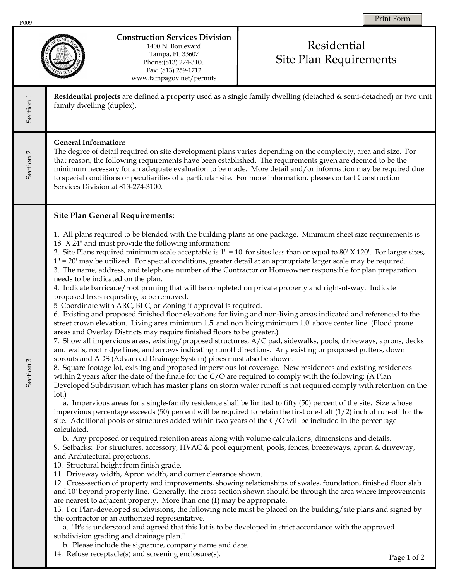

## **Construction Services Division**

1400 N. Boulevard Tampa, FL 33607 Phone:(813) 274-3100 Fax: (813) 259-1712 www.tampagov.net/permits

## Residential Site Plan Requirements

**Residential projects** are defined a property used as a single family dwelling (detached & semi-detached) or two unit Section<sub>1</sub> Section 1 family dwelling (duplex). **General Information:**  The degree of detail required on site development plans varies depending on the complexity, area and size. For Section<sub>2</sub> Section 2 that reason, the following requirements have been established. The requirements given are deemed to be the minimum necessary for an adequate evaluation to be made. More detail and/or information may be required due to special conditions or peculiarities of a particular site. For more information, please contact Construction Services Division at 813-274-3100. **Site Plan General Requirements:**  1. All plans required to be blended with the building plans as one package. Minimum sheet size requirements is 18" X 24" and must provide the following information: 2. Site Plans required minimum scale acceptable is  $1'' = 10'$  for sites less than or equal to 80' X 120'. For larger sites, 1" = 20' may be utilized. For special conditions, greater detail at an appropriate larger scale may be required. 3. The name, address, and telephone number of the Contractor or Homeowner responsible for plan preparation needs to be indicated on the plan. 4. Indicate barricade/root pruning that will be completed on private property and right-of-way. Indicate proposed trees requesting to be removed. 5 Coordinate with ARC, BLC, or Zoning if approval is required. 6. Existing and proposed finished floor elevations for living and non-living areas indicated and referenced to the street crown elevation. Living area minimum 1.5' and non living minimum 1.0' above center line. (Flood prone areas and Overlay Districts may require finished floors to be greater.) 7. Show all impervious areas, existing/proposed structures, A/C pad, sidewalks, pools, driveways, aprons, decks and walls, roof ridge lines, and arrows indicating runoff directions. Any existing or proposed gutters, down sprouts and ADS (Advanced Drainage System) pipes must also be shown. Section 3 Section 3 8. Square footage lot, existing and proposed impervious lot coverage. New residences and existing residences within 2 years after the date of the finale for the C/O are required to comply with the following: (A Plan Developed Subdivision which has master plans on storm water runoff is not required comply with retention on the lot.) a. Impervious areas for a single-family residence shall be limited to fifty (50) percent of the site. Size whose impervious percentage exceeds  $(50)$  percent will be required to retain the first one-half  $(1/2)$  inch of run-off for the site. Additional pools or structures added within two years of the  $C/O$  will be included in the percentage calculated. b. Any proposed or required retention areas along with volume calculations, dimensions and details. 9. Setbacks: For structures, accessory, HVAC & pool equipment, pools, fences, breezeways, apron & driveway, and Architectural projections. 10. Structural height from finish grade. 11. Driveway width, Apron width, and corner clearance shown. 12. Cross-section of property and improvements, showing relationships of swales, foundation, finished floor slab and 10' beyond property line. Generally, the cross section shown should be through the area where improvements are nearest to adjacent property. More than one (1) may be appropriate. 13. For Plan-developed subdivisions, the following note must be placed on the building/site plans and signed by the contractor or an authorized representative. a. "It's is understood and agreed that this lot is to be developed in strict accordance with the approved subdivision grading and drainage plan." b. Please include the signature, company name and date. 14. Refuse receptacle(s) and screening enclosure(s). Page 1 of 2